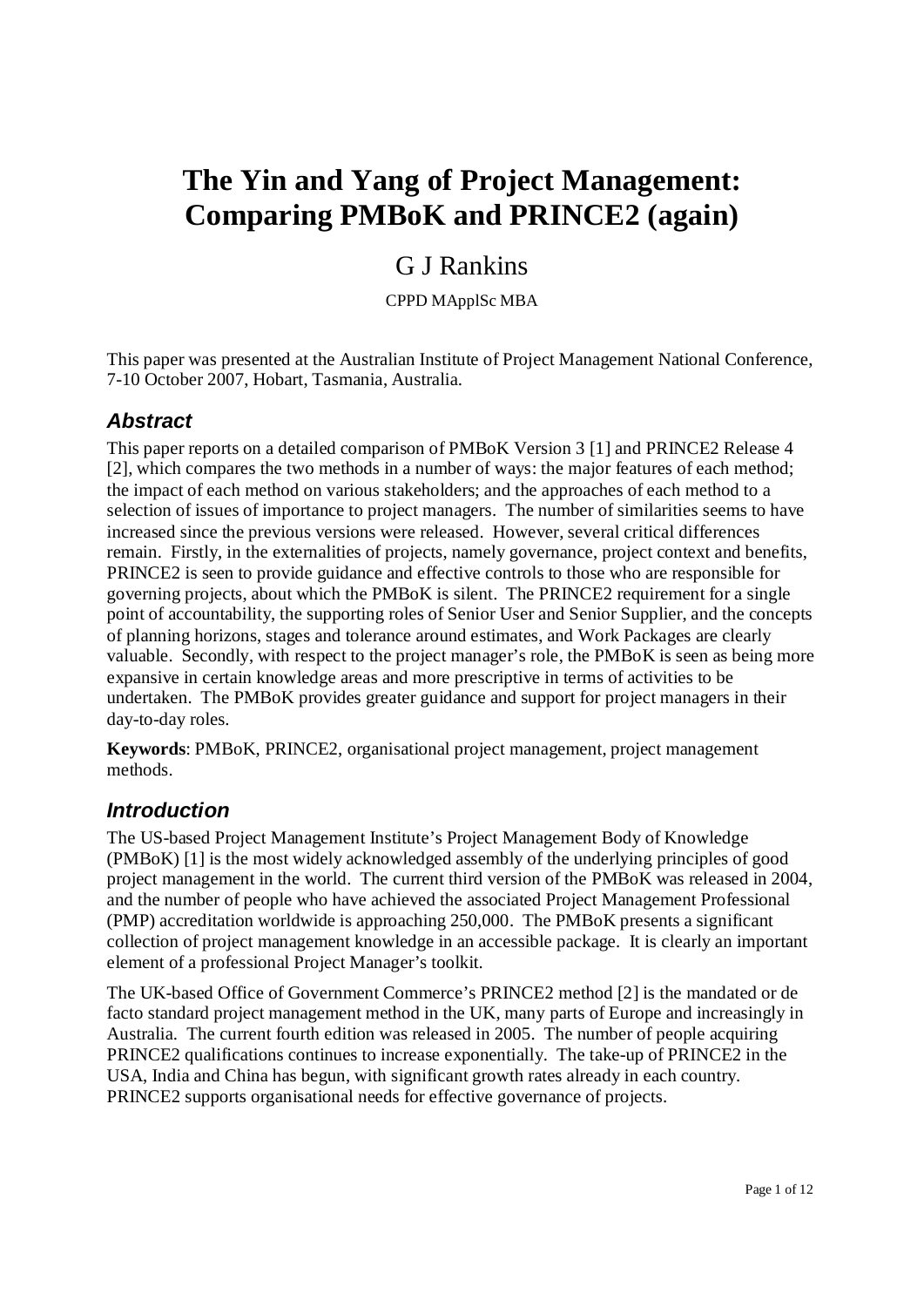# **The Yin and Yang of Project Management: Comparing PMBoK and PRINCE2 (again)**

## G J Rankins

CPPD MApplSc MBA

This paper was presented at the Australian Institute of Project Management National Conference, 7-10 October 2007, Hobart, Tasmania, Australia.

## *Abstract*

This paper reports on a detailed comparison of PMBoK Version 3 [1] and PRINCE2 Release 4 [2], which compares the two methods in a number of ways: the major features of each method; the impact of each method on various stakeholders; and the approaches of each method to a selection of issues of importance to project managers. The number of similarities seems to have increased since the previous versions were released. However, several critical differences remain. Firstly, in the externalities of projects, namely governance, project context and benefits, PRINCE2 is seen to provide guidance and effective controls to those who are responsible for governing projects, about which the PMBoK is silent. The PRINCE2 requirement for a single point of accountability, the supporting roles of Senior User and Senior Supplier, and the concepts of planning horizons, stages and tolerance around estimates, and Work Packages are clearly valuable. Secondly, with respect to the project manager's role, the PMBoK is seen as being more expansive in certain knowledge areas and more prescriptive in terms of activities to be undertaken. The PMBoK provides greater guidance and support for project managers in their day-to-day roles.

**Keywords**: PMBoK, PRINCE2, organisational project management, project management methods.

## *Introduction*

The US-based Project Management Institute's Project Management Body of Knowledge (PMBoK) [1] is the most widely acknowledged assembly of the underlying principles of good project management in the world. The current third version of the PMBoK was released in 2004, and the number of people who have achieved the associated Project Management Professional (PMP) accreditation worldwide is approaching 250,000. The PMBoK presents a significant collection of project management knowledge in an accessible package. It is clearly an important element of a professional Project Manager's toolkit.

The UK-based Office of Government Commerce's PRINCE2 method [2] is the mandated or de facto standard project management method in the UK, many parts of Europe and increasingly in Australia. The current fourth edition was released in 2005. The number of people acquiring PRINCE2 qualifications continues to increase exponentially. The take-up of PRINCE2 in the USA, India and China has begun, with significant growth rates already in each country. PRINCE2 supports organisational needs for effective governance of projects.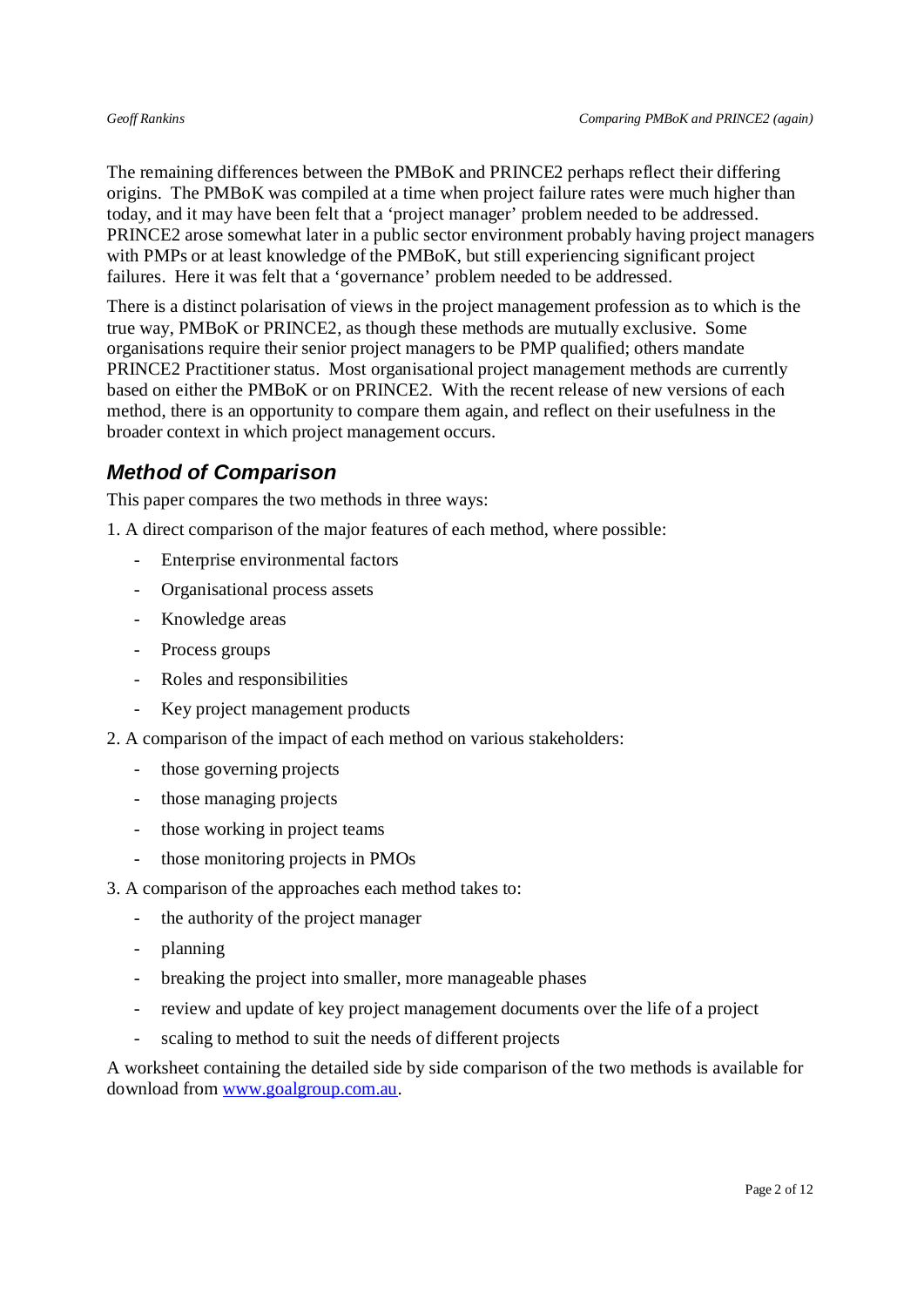The remaining differences between the PMBoK and PRINCE2 perhaps reflect their differing origins. The PMBoK was compiled at a time when project failure rates were much higher than today, and it may have been felt that a 'project manager' problem needed to be addressed. PRINCE2 arose somewhat later in a public sector environment probably having project managers with PMPs or at least knowledge of the PMBoK, but still experiencing significant project failures. Here it was felt that a 'governance' problem needed to be addressed.

There is a distinct polarisation of views in the project management profession as to which is the true way, PMBoK or PRINCE2, as though these methods are mutually exclusive. Some organisations require their senior project managers to be PMP qualified; others mandate PRINCE2 Practitioner status. Most organisational project management methods are currently based on either the PMBoK or on PRINCE2. With the recent release of new versions of each method, there is an opportunity to compare them again, and reflect on their usefulness in the broader context in which project management occurs.

## *Method of Comparison*

This paper compares the two methods in three ways:

1. A direct comparison of the major features of each method, where possible:

- Enterprise environmental factors
- Organisational process assets
- Knowledge areas
- Process groups
- Roles and responsibilities
- Key project management products
- 2. A comparison of the impact of each method on various stakeholders:
	- those governing projects
	- those managing projects
	- those working in project teams
	- those monitoring projects in PMOs
- 3. A comparison of the approaches each method takes to:
	- the authority of the project manager
	- planning
	- breaking the project into smaller, more manageable phases
	- review and update of key project management documents over the life of a project
	- scaling to method to suit the needs of different projects

A worksheet containing the detailed side by side comparison of the two methods is available for download from www.goalgroup.com.au.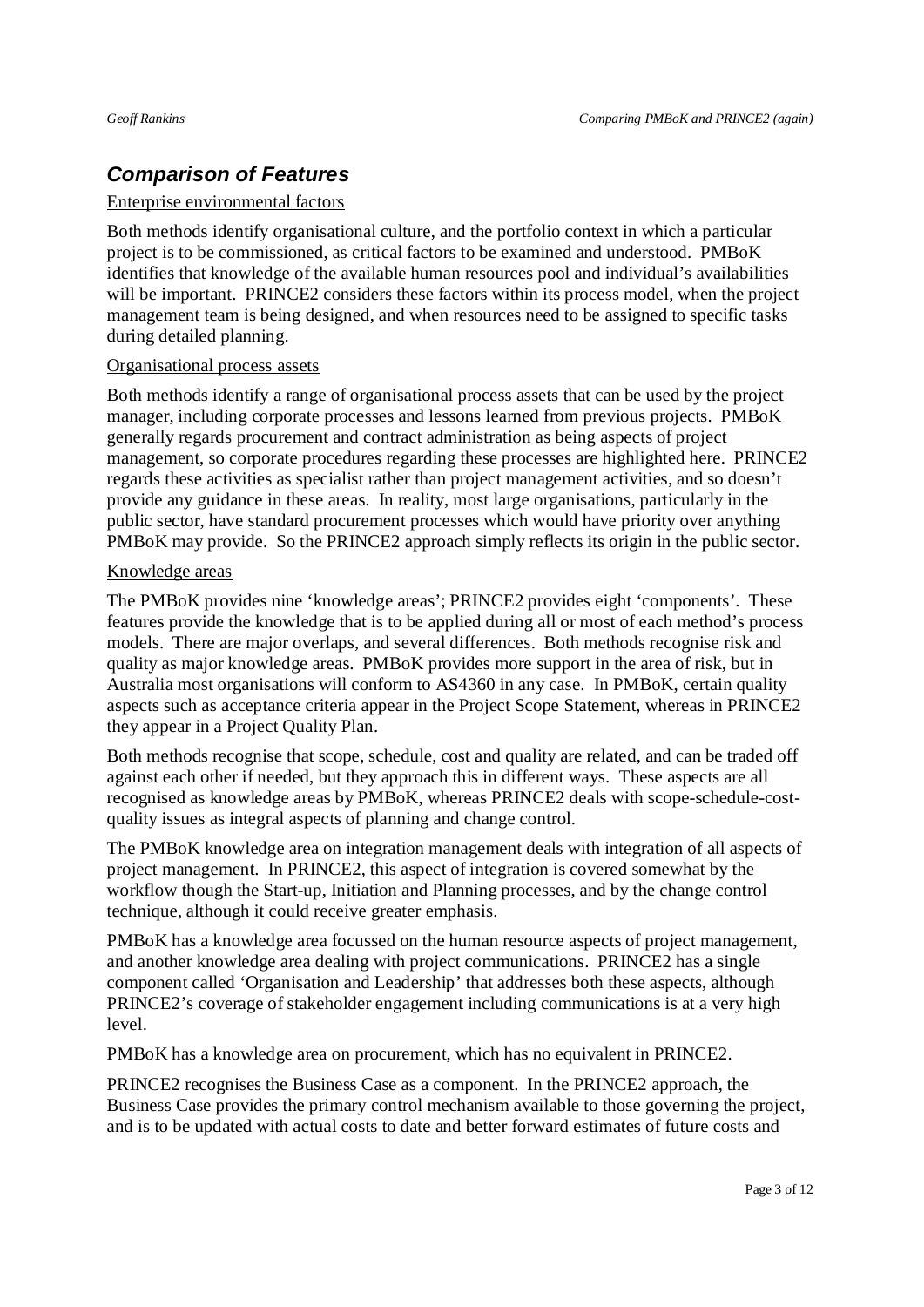## *Comparison of Features*

#### Enterprise environmental factors

Both methods identify organisational culture, and the portfolio context in which a particular project is to be commissioned, as critical factors to be examined and understood. PMBoK identifies that knowledge of the available human resources pool and individual's availabilities will be important. PRINCE2 considers these factors within its process model, when the project management team is being designed, and when resources need to be assigned to specific tasks during detailed planning.

#### Organisational process assets

Both methods identify a range of organisational process assets that can be used by the project manager, including corporate processes and lessons learned from previous projects. PMBoK generally regards procurement and contract administration as being aspects of project management, so corporate procedures regarding these processes are highlighted here. PRINCE2 regards these activities as specialist rather than project management activities, and so doesn't provide any guidance in these areas. In reality, most large organisations, particularly in the public sector, have standard procurement processes which would have priority over anything PMBoK may provide. So the PRINCE2 approach simply reflects its origin in the public sector.

### Knowledge areas

The PMBoK provides nine 'knowledge areas'; PRINCE2 provides eight 'components'. These features provide the knowledge that is to be applied during all or most of each method's process models. There are major overlaps, and several differences. Both methods recognise risk and quality as major knowledge areas. PMBoK provides more support in the area of risk, but in Australia most organisations will conform to AS4360 in any case. In PMBoK, certain quality aspects such as acceptance criteria appear in the Project Scope Statement, whereas in PRINCE2 they appear in a Project Quality Plan.

Both methods recognise that scope, schedule, cost and quality are related, and can be traded off against each other if needed, but they approach this in different ways. These aspects are all recognised as knowledge areas by PMBoK, whereas PRINCE2 deals with scope-schedule-costquality issues as integral aspects of planning and change control.

The PMBoK knowledge area on integration management deals with integration of all aspects of project management. In PRINCE2, this aspect of integration is covered somewhat by the workflow though the Start-up, Initiation and Planning processes, and by the change control technique, although it could receive greater emphasis.

PMBoK has a knowledge area focussed on the human resource aspects of project management, and another knowledge area dealing with project communications. PRINCE2 has a single component called 'Organisation and Leadership' that addresses both these aspects, although PRINCE2's coverage of stakeholder engagement including communications is at a very high level.

PMBoK has a knowledge area on procurement, which has no equivalent in PRINCE2.

PRINCE2 recognises the Business Case as a component. In the PRINCE2 approach, the Business Case provides the primary control mechanism available to those governing the project, and is to be updated with actual costs to date and better forward estimates of future costs and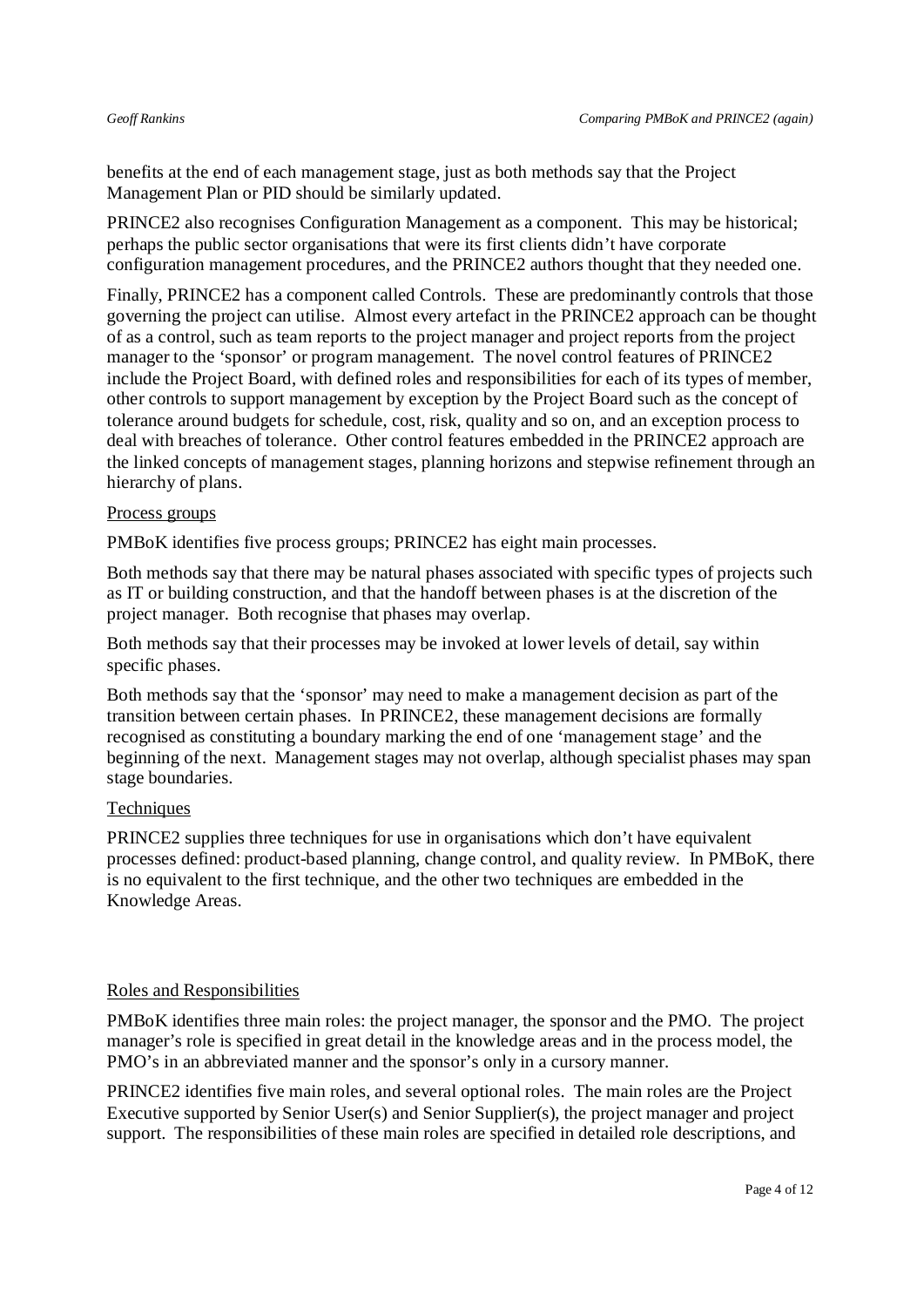benefits at the end of each management stage, just as both methods say that the Project Management Plan or PID should be similarly updated.

PRINCE2 also recognises Configuration Management as a component. This may be historical; perhaps the public sector organisations that were its first clients didn't have corporate configuration management procedures, and the PRINCE2 authors thought that they needed one.

Finally, PRINCE2 has a component called Controls. These are predominantly controls that those governing the project can utilise. Almost every artefact in the PRINCE2 approach can be thought of as a control, such as team reports to the project manager and project reports from the project manager to the 'sponsor' or program management. The novel control features of PRINCE2 include the Project Board, with defined roles and responsibilities for each of its types of member, other controls to support management by exception by the Project Board such as the concept of tolerance around budgets for schedule, cost, risk, quality and so on, and an exception process to deal with breaches of tolerance. Other control features embedded in the PRINCE2 approach are the linked concepts of management stages, planning horizons and stepwise refinement through an hierarchy of plans.

### Process groups

PMBoK identifies five process groups; PRINCE2 has eight main processes.

Both methods say that there may be natural phases associated with specific types of projects such as IT or building construction, and that the handoff between phases is at the discretion of the project manager. Both recognise that phases may overlap.

Both methods say that their processes may be invoked at lower levels of detail, say within specific phases.

Both methods say that the 'sponsor' may need to make a management decision as part of the transition between certain phases. In PRINCE2, these management decisions are formally recognised as constituting a boundary marking the end of one 'management stage' and the beginning of the next. Management stages may not overlap, although specialist phases may span stage boundaries.

#### **Techniques**

PRINCE2 supplies three techniques for use in organisations which don't have equivalent processes defined: product-based planning, change control, and quality review. In PMBoK, there is no equivalent to the first technique, and the other two techniques are embedded in the Knowledge Areas.

#### Roles and Responsibilities

PMBoK identifies three main roles: the project manager, the sponsor and the PMO. The project manager's role is specified in great detail in the knowledge areas and in the process model, the PMO's in an abbreviated manner and the sponsor's only in a cursory manner.

PRINCE2 identifies five main roles, and several optional roles. The main roles are the Project Executive supported by Senior User(s) and Senior Supplier(s), the project manager and project support. The responsibilities of these main roles are specified in detailed role descriptions, and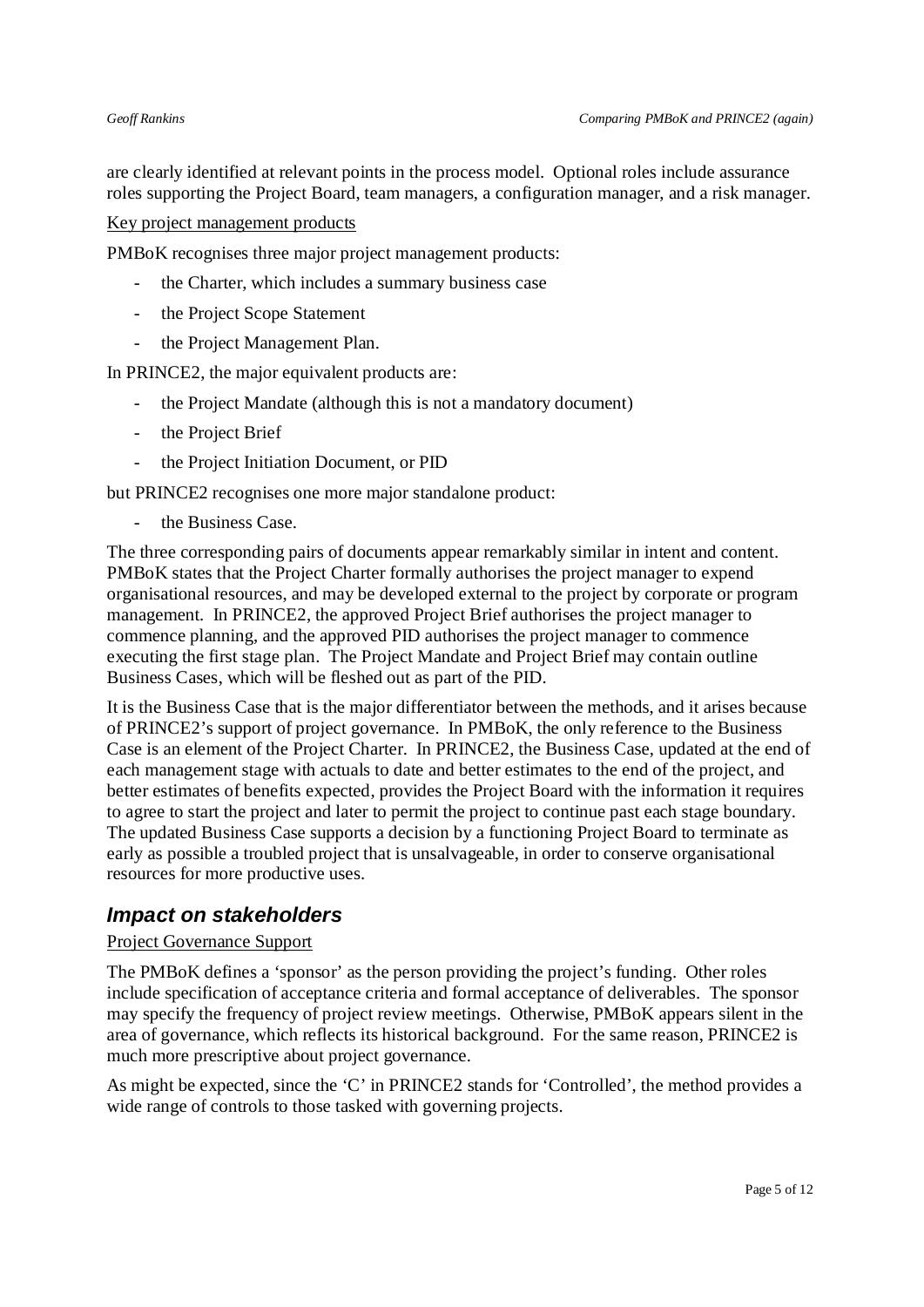are clearly identified at relevant points in the process model. Optional roles include assurance roles supporting the Project Board, team managers, a configuration manager, and a risk manager.

Key project management products

PMBoK recognises three major project management products:

- the Charter, which includes a summary business case
- the Project Scope Statement
- the Project Management Plan.

In PRINCE2, the major equivalent products are:

- the Project Mandate (although this is not a mandatory document)
- the Project Brief
- the Project Initiation Document, or PID

but PRINCE2 recognises one more major standalone product:

the Business Case.

The three corresponding pairs of documents appear remarkably similar in intent and content. PMBoK states that the Project Charter formally authorises the project manager to expend organisational resources, and may be developed external to the project by corporate or program management. In PRINCE2, the approved Project Brief authorises the project manager to commence planning, and the approved PID authorises the project manager to commence executing the first stage plan. The Project Mandate and Project Brief may contain outline Business Cases, which will be fleshed out as part of the PID.

It is the Business Case that is the major differentiator between the methods, and it arises because of PRINCE2's support of project governance. In PMBoK, the only reference to the Business Case is an element of the Project Charter. In PRINCE2, the Business Case, updated at the end of each management stage with actuals to date and better estimates to the end of the project, and better estimates of benefits expected, provides the Project Board with the information it requires to agree to start the project and later to permit the project to continue past each stage boundary. The updated Business Case supports a decision by a functioning Project Board to terminate as early as possible a troubled project that is unsalvageable, in order to conserve organisational resources for more productive uses.

## *Impact on stakeholders*

#### Project Governance Support

The PMBoK defines a 'sponsor' as the person providing the project's funding. Other roles include specification of acceptance criteria and formal acceptance of deliverables. The sponsor may specify the frequency of project review meetings. Otherwise, PMBoK appears silent in the area of governance, which reflects its historical background. For the same reason, PRINCE2 is much more prescriptive about project governance.

As might be expected, since the 'C' in PRINCE2 stands for 'Controlled', the method provides a wide range of controls to those tasked with governing projects.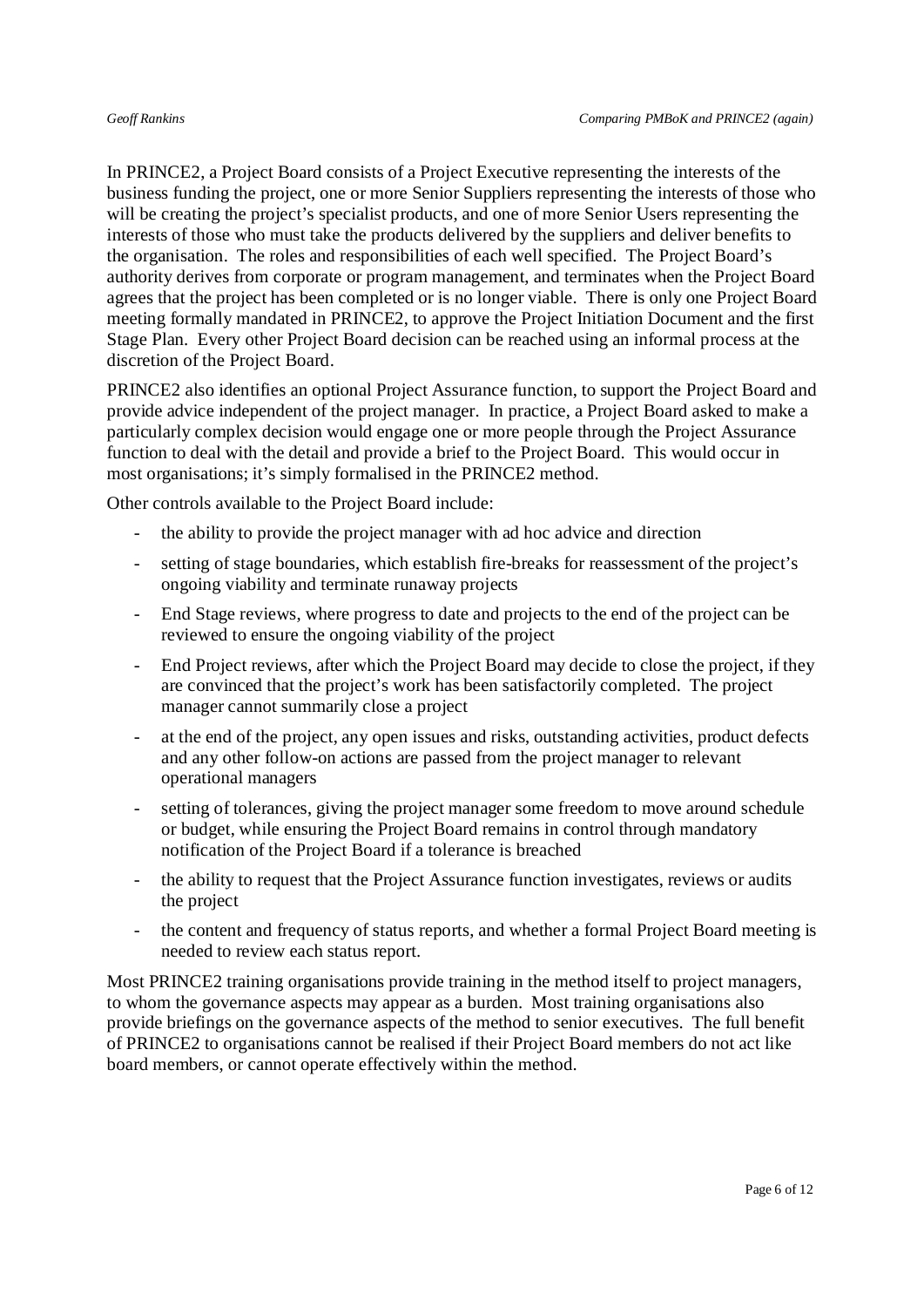In PRINCE2, a Project Board consists of a Project Executive representing the interests of the business funding the project, one or more Senior Suppliers representing the interests of those who will be creating the project's specialist products, and one of more Senior Users representing the interests of those who must take the products delivered by the suppliers and deliver benefits to the organisation. The roles and responsibilities of each well specified. The Project Board's authority derives from corporate or program management, and terminates when the Project Board agrees that the project has been completed or is no longer viable. There is only one Project Board meeting formally mandated in PRINCE2, to approve the Project Initiation Document and the first Stage Plan. Every other Project Board decision can be reached using an informal process at the discretion of the Project Board.

PRINCE2 also identifies an optional Project Assurance function, to support the Project Board and provide advice independent of the project manager. In practice, a Project Board asked to make a particularly complex decision would engage one or more people through the Project Assurance function to deal with the detail and provide a brief to the Project Board. This would occur in most organisations; it's simply formalised in the PRINCE2 method.

Other controls available to the Project Board include:

- the ability to provide the project manager with ad hoc advice and direction
- setting of stage boundaries, which establish fire-breaks for reassessment of the project's ongoing viability and terminate runaway projects
- End Stage reviews, where progress to date and projects to the end of the project can be reviewed to ensure the ongoing viability of the project
- End Project reviews, after which the Project Board may decide to close the project, if they are convinced that the project's work has been satisfactorily completed. The project manager cannot summarily close a project
- at the end of the project, any open issues and risks, outstanding activities, product defects and any other follow-on actions are passed from the project manager to relevant operational managers
- setting of tolerances, giving the project manager some freedom to move around schedule or budget, while ensuring the Project Board remains in control through mandatory notification of the Project Board if a tolerance is breached
- the ability to request that the Project Assurance function investigates, reviews or audits the project
- the content and frequency of status reports, and whether a formal Project Board meeting is needed to review each status report.

Most PRINCE2 training organisations provide training in the method itself to project managers, to whom the governance aspects may appear as a burden. Most training organisations also provide briefings on the governance aspects of the method to senior executives. The full benefit of PRINCE2 to organisations cannot be realised if their Project Board members do not act like board members, or cannot operate effectively within the method.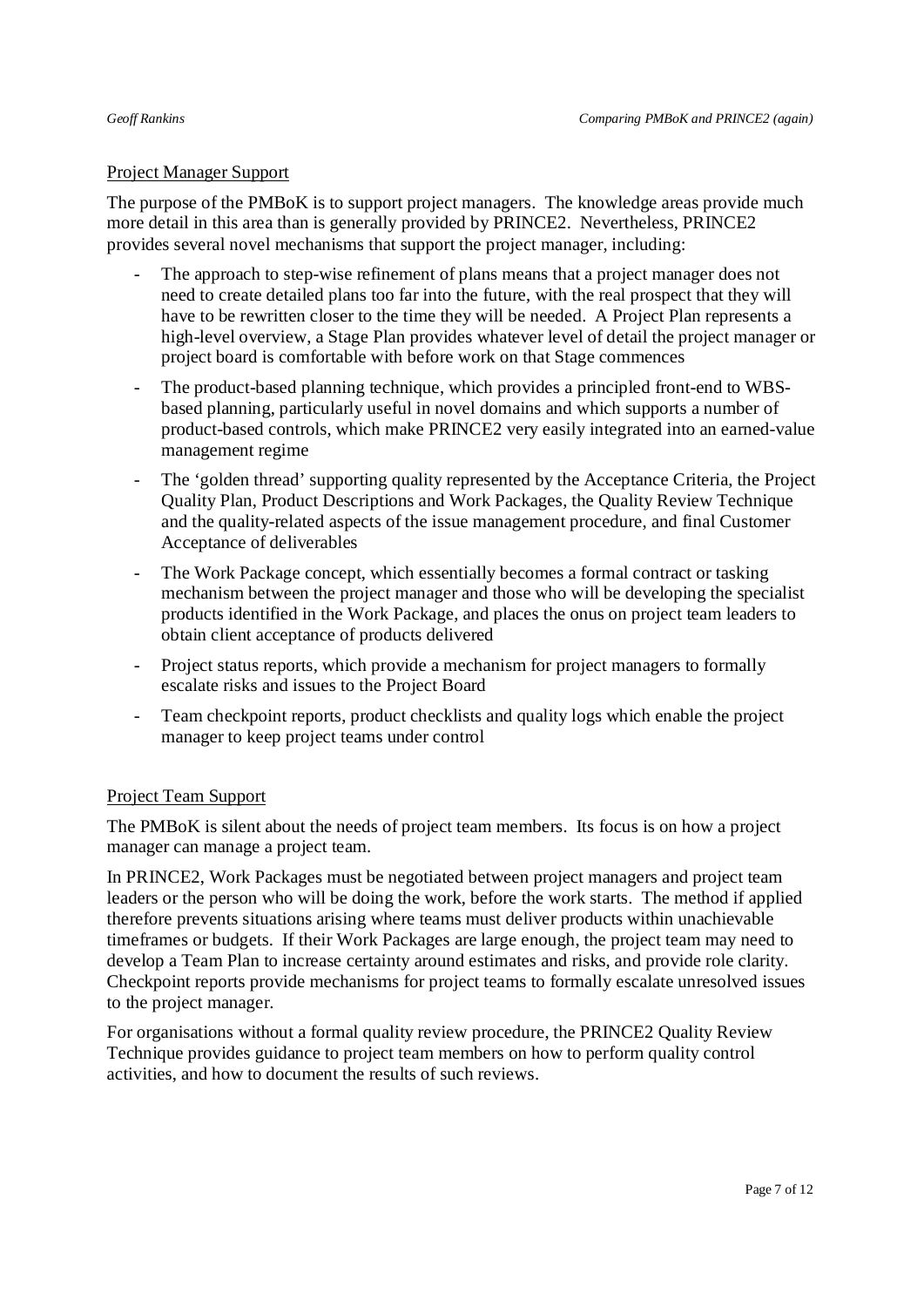### Project Manager Support

The purpose of the PMBoK is to support project managers. The knowledge areas provide much more detail in this area than is generally provided by PRINCE2. Nevertheless, PRINCE2 provides several novel mechanisms that support the project manager, including:

- The approach to step-wise refinement of plans means that a project manager does not need to create detailed plans too far into the future, with the real prospect that they will have to be rewritten closer to the time they will be needed. A Project Plan represents a high-level overview, a Stage Plan provides whatever level of detail the project manager or project board is comfortable with before work on that Stage commences
- The product-based planning technique, which provides a principled front-end to WBSbased planning, particularly useful in novel domains and which supports a number of product-based controls, which make PRINCE2 very easily integrated into an earned-value management regime
- The 'golden thread' supporting quality represented by the Acceptance Criteria, the Project Quality Plan, Product Descriptions and Work Packages, the Quality Review Technique and the quality-related aspects of the issue management procedure, and final Customer Acceptance of deliverables
- The Work Package concept, which essentially becomes a formal contract or tasking mechanism between the project manager and those who will be developing the specialist products identified in the Work Package, and places the onus on project team leaders to obtain client acceptance of products delivered
- Project status reports, which provide a mechanism for project managers to formally escalate risks and issues to the Project Board
- Team checkpoint reports, product checklists and quality logs which enable the project manager to keep project teams under control

### Project Team Support

The PMBoK is silent about the needs of project team members. Its focus is on how a project manager can manage a project team.

In PRINCE2, Work Packages must be negotiated between project managers and project team leaders or the person who will be doing the work, before the work starts. The method if applied therefore prevents situations arising where teams must deliver products within unachievable timeframes or budgets. If their Work Packages are large enough, the project team may need to develop a Team Plan to increase certainty around estimates and risks, and provide role clarity. Checkpoint reports provide mechanisms for project teams to formally escalate unresolved issues to the project manager.

For organisations without a formal quality review procedure, the PRINCE2 Quality Review Technique provides guidance to project team members on how to perform quality control activities, and how to document the results of such reviews.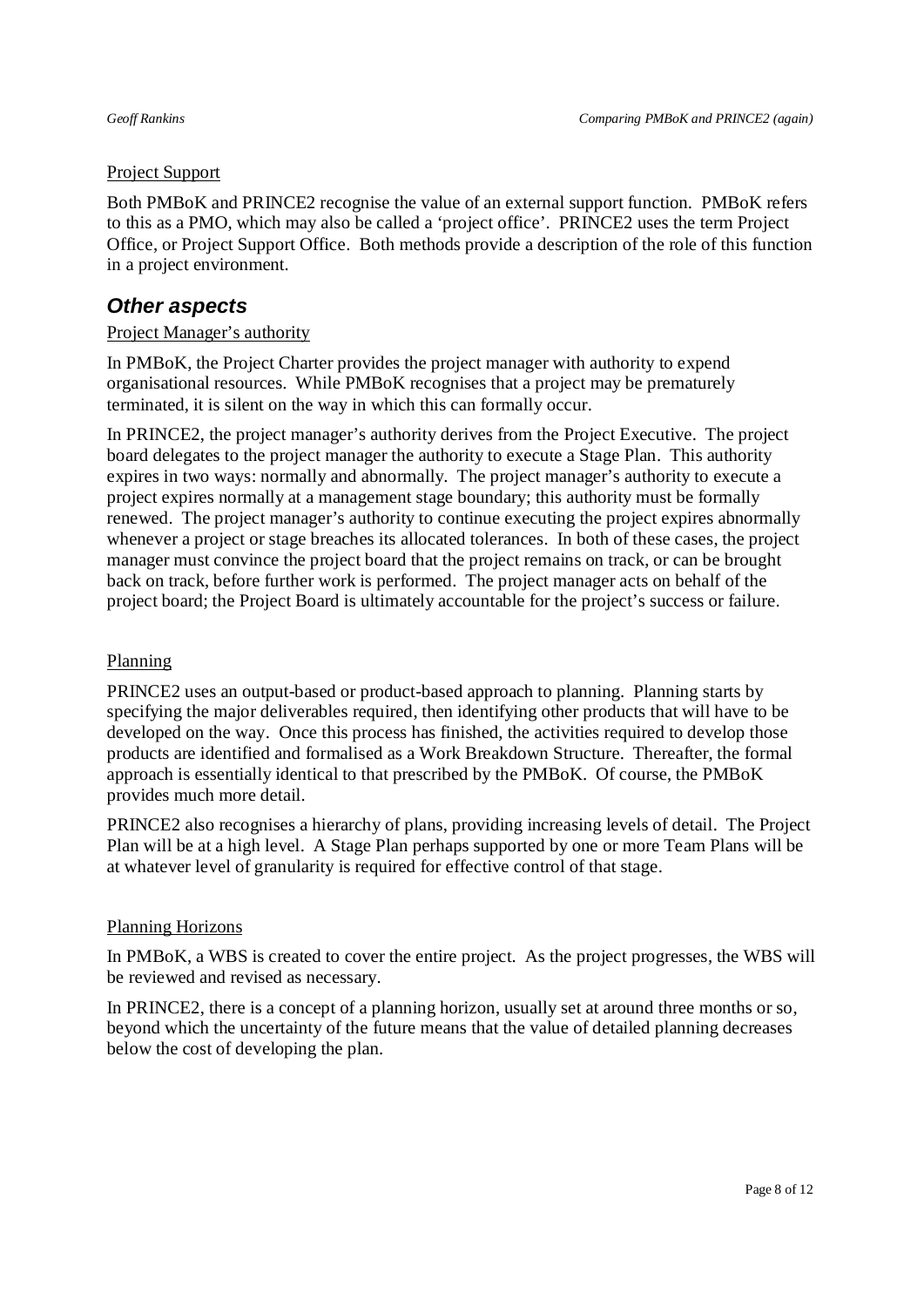### Project Support

Both PMBoK and PRINCE2 recognise the value of an external support function. PMBoK refers to this as a PMO, which may also be called a 'project office'. PRINCE2 uses the term Project Office, or Project Support Office. Both methods provide a description of the role of this function in a project environment.

## *Other aspects*

### Project Manager's authority

In PMBoK, the Project Charter provides the project manager with authority to expend organisational resources. While PMBoK recognises that a project may be prematurely terminated, it is silent on the way in which this can formally occur.

In PRINCE2, the project manager's authority derives from the Project Executive. The project board delegates to the project manager the authority to execute a Stage Plan. This authority expires in two ways: normally and abnormally. The project manager's authority to execute a project expires normally at a management stage boundary; this authority must be formally renewed. The project manager's authority to continue executing the project expires abnormally whenever a project or stage breaches its allocated tolerances. In both of these cases, the project manager must convince the project board that the project remains on track, or can be brought back on track, before further work is performed. The project manager acts on behalf of the project board; the Project Board is ultimately accountable for the project's success or failure.

### Planning

PRINCE2 uses an output-based or product-based approach to planning. Planning starts by specifying the major deliverables required, then identifying other products that will have to be developed on the way. Once this process has finished, the activities required to develop those products are identified and formalised as a Work Breakdown Structure. Thereafter, the formal approach is essentially identical to that prescribed by the PMBoK. Of course, the PMBoK provides much more detail.

PRINCE2 also recognises a hierarchy of plans, providing increasing levels of detail. The Project Plan will be at a high level. A Stage Plan perhaps supported by one or more Team Plans will be at whatever level of granularity is required for effective control of that stage.

#### Planning Horizons

In PMBoK, a WBS is created to cover the entire project. As the project progresses, the WBS will be reviewed and revised as necessary.

In PRINCE2, there is a concept of a planning horizon, usually set at around three months or so, beyond which the uncertainty of the future means that the value of detailed planning decreases below the cost of developing the plan.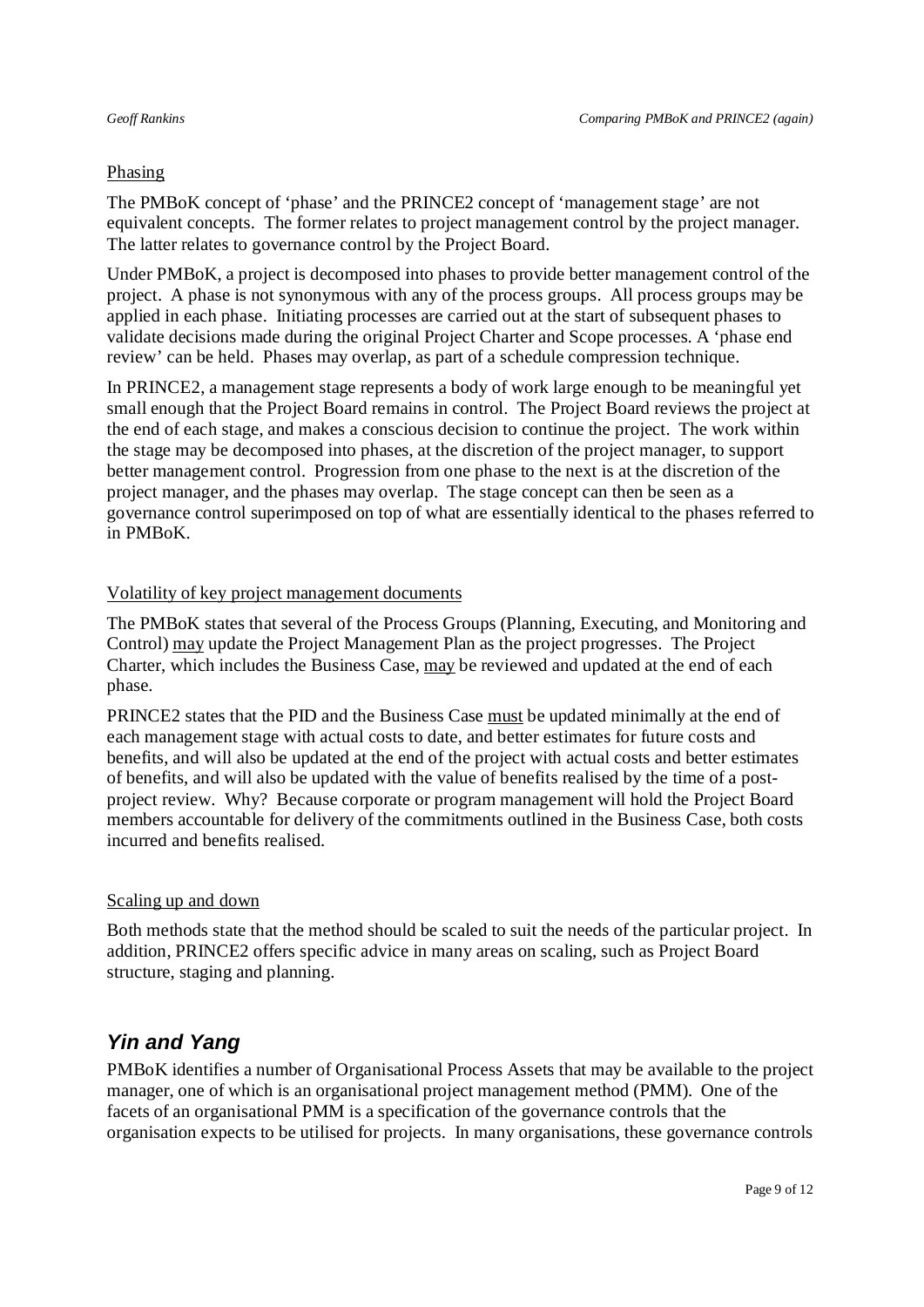### Phasing

The PMBoK concept of 'phase' and the PRINCE2 concept of 'management stage' are not equivalent concepts. The former relates to project management control by the project manager. The latter relates to governance control by the Project Board.

Under PMBoK, a project is decomposed into phases to provide better management control of the project. A phase is not synonymous with any of the process groups. All process groups may be applied in each phase. Initiating processes are carried out at the start of subsequent phases to validate decisions made during the original Project Charter and Scope processes. A 'phase end review' can be held. Phases may overlap, as part of a schedule compression technique.

In PRINCE2, a management stage represents a body of work large enough to be meaningful yet small enough that the Project Board remains in control. The Project Board reviews the project at the end of each stage, and makes a conscious decision to continue the project. The work within the stage may be decomposed into phases, at the discretion of the project manager, to support better management control. Progression from one phase to the next is at the discretion of the project manager, and the phases may overlap. The stage concept can then be seen as a governance control superimposed on top of what are essentially identical to the phases referred to in PMBoK.

### Volatility of key project management documents

The PMBoK states that several of the Process Groups (Planning, Executing, and Monitoring and Control) may update the Project Management Plan as the project progresses. The Project Charter, which includes the Business Case, may be reviewed and updated at the end of each phase.

PRINCE2 states that the PID and the Business Case must be updated minimally at the end of each management stage with actual costs to date, and better estimates for future costs and benefits, and will also be updated at the end of the project with actual costs and better estimates of benefits, and will also be updated with the value of benefits realised by the time of a postproject review. Why? Because corporate or program management will hold the Project Board members accountable for delivery of the commitments outlined in the Business Case, both costs incurred and benefits realised.

#### Scaling up and down

Both methods state that the method should be scaled to suit the needs of the particular project. In addition, PRINCE2 offers specific advice in many areas on scaling, such as Project Board structure, staging and planning.

## *Yin and Yang*

PMBoK identifies a number of Organisational Process Assets that may be available to the project manager, one of which is an organisational project management method (PMM). One of the facets of an organisational PMM is a specification of the governance controls that the organisation expects to be utilised for projects. In many organisations, these governance controls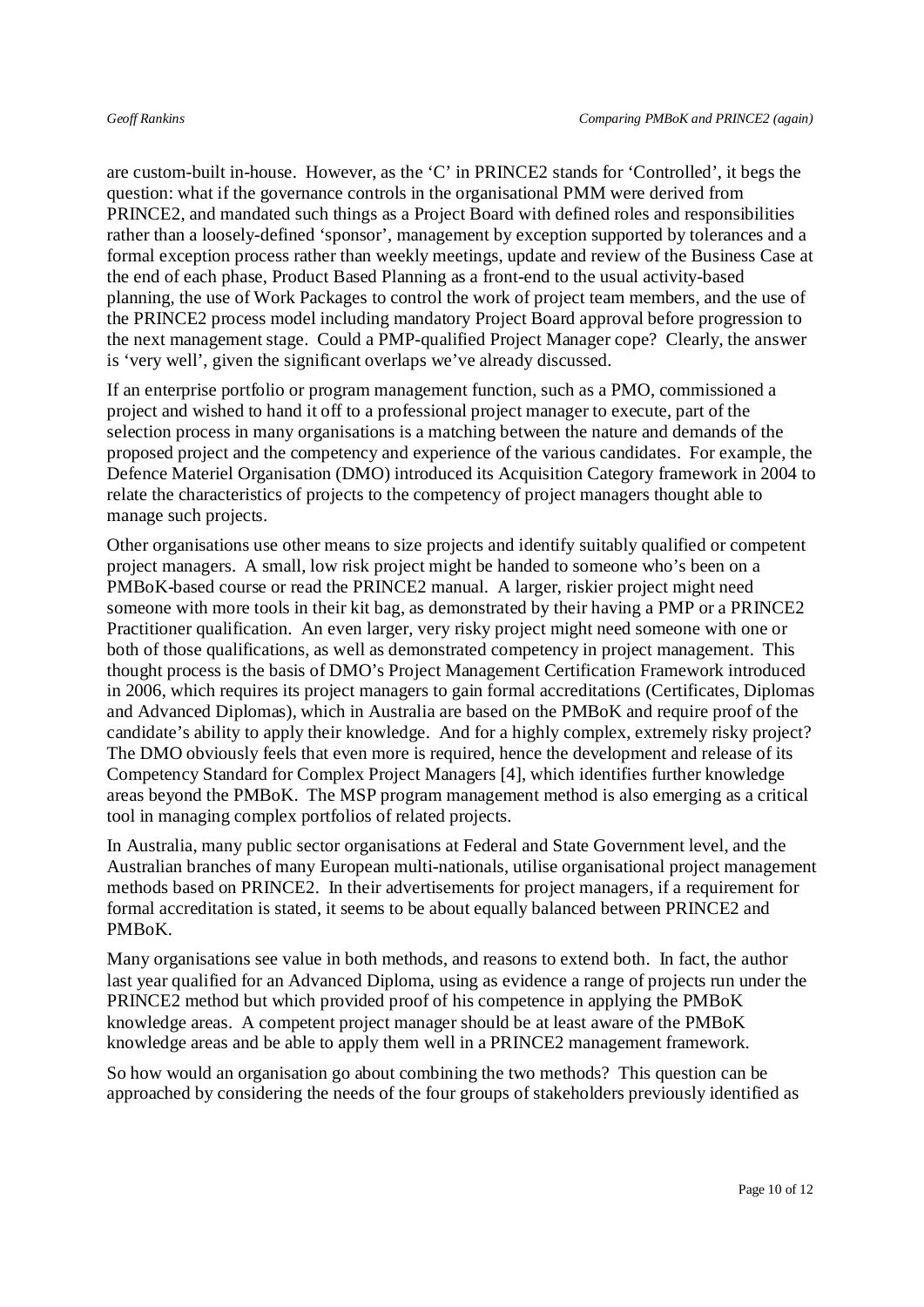are custom-built in-house. However, as the 'C' in PRINCE2 stands for 'Controlled', it begs the question: what if the governance controls in the organisational PMM were derived from PRINCE2, and mandated such things as a Project Board with defined roles and responsibilities rather than a loosely-defined 'sponsor', management by exception supported by tolerances and a formal exception process rather than weekly meetings, update and review of the Business Case at the end of each phase, Product Based Planning as a front-end to the usual activity-based planning, the use of Work Packages to control the work of project team members, and the use of the PRINCE2 process model including mandatory Project Board approval before progression to the next management stage. Could a PMP-qualified Project Manager cope? Clearly, the answer is 'very well', given the significant overlaps we've already discussed.

If an enterprise portfolio or program management function, such as a PMO, commissioned a project and wished to hand it off to a professional project manager to execute, part of the selection process in many organisations is a matching between the nature and demands of the proposed project and the competency and experience of the various candidates. For example, the Defence Materiel Organisation (DMO) introduced its Acquisition Category framework in 2004 to relate the characteristics of projects to the competency of project managers thought able to manage such projects.

Other organisations use other means to size projects and identify suitably qualified or competent project managers. A small, low risk project might be handed to someone who's been on a PMBoK-based course or read the PRINCE2 manual. A larger, riskier project might need someone with more tools in their kit bag, as demonstrated by their having a PMP or a PRINCE2 Practitioner qualification. An even larger, very risky project might need someone with one or both of those qualifications, as well as demonstrated competency in project management. This thought process is the basis of DMO's Project Management Certification Framework introduced in 2006, which requires its project managers to gain formal accreditations (Certificates, Diplomas and Advanced Diplomas), which in Australia are based on the PMBoK and require proof of the candidate's ability to apply their knowledge. And for a highly complex, extremely risky project? The DMO obviously feels that even more is required, hence the development and release of its Competency Standard for Complex Project Managers [4], which identifies further knowledge areas beyond the PMBoK. The MSP program management method is also emerging as a critical tool in managing complex portfolios of related projects.

In Australia, many public sector organisations at Federal and State Government level, and the Australian branches of many European multi-nationals, utilise organisational project management methods based on PRINCE2. In their advertisements for project managers, if a requirement for formal accreditation is stated, it seems to be about equally balanced between PRINCE2 and PMBoK.

Many organisations see value in both methods, and reasons to extend both. In fact, the author last year qualified for an Advanced Diploma, using as evidence a range of projects run under the PRINCE2 method but which provided proof of his competence in applying the PMBoK knowledge areas. A competent project manager should be at least aware of the PMBoK knowledge areas and be able to apply them well in a PRINCE2 management framework.

So how would an organisation go about combining the two methods? This question can be approached by considering the needs of the four groups of stakeholders previously identified as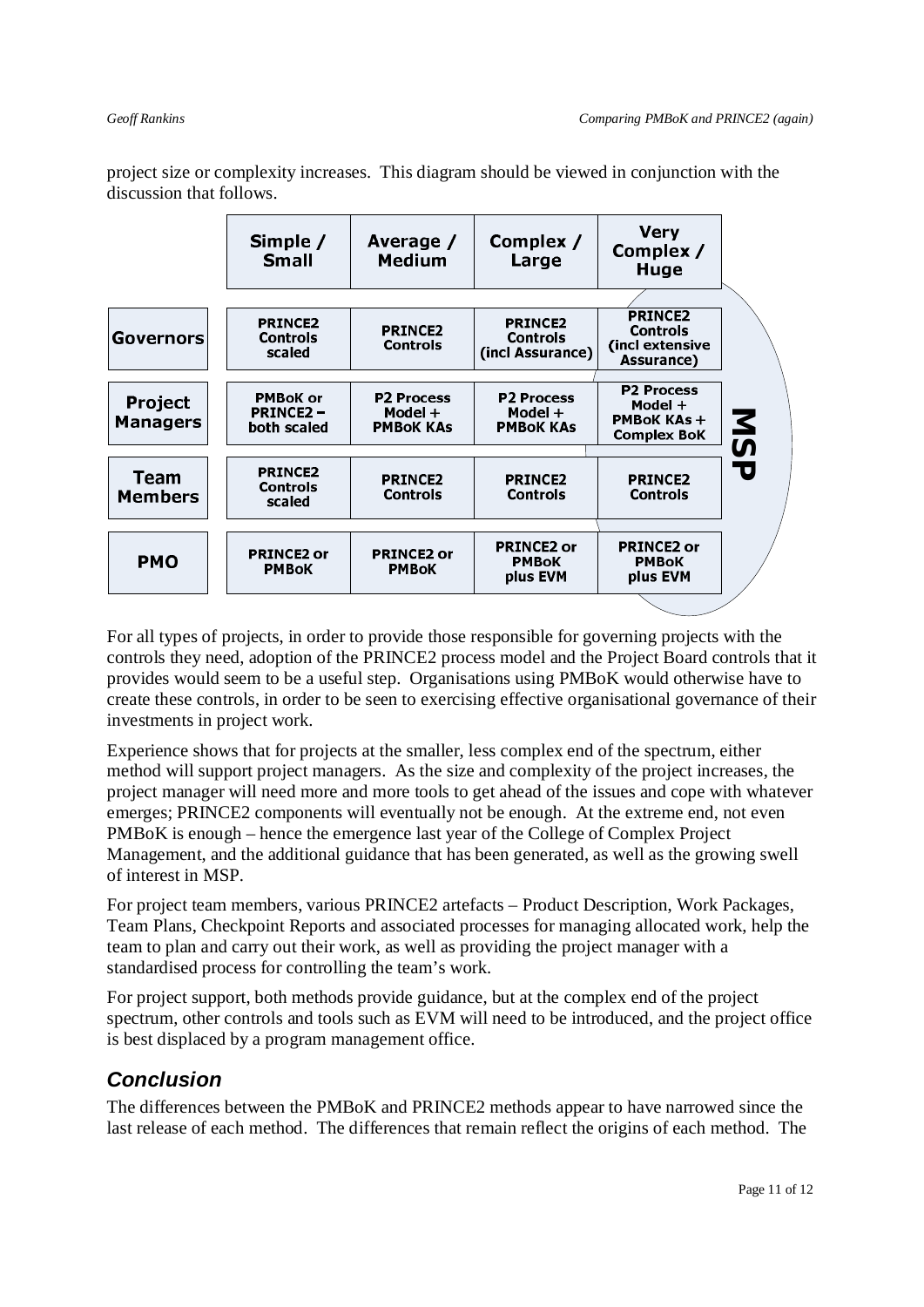project size or complexity increases. This diagram should be viewed in conjunction with the discussion that follows.

|                               | Simple /<br><b>Small</b>                          | Average /<br><b>Medium</b>                       | Complex /<br>Large                                    | <b>Very</b><br>Complex /<br>Huge                                         |            |
|-------------------------------|---------------------------------------------------|--------------------------------------------------|-------------------------------------------------------|--------------------------------------------------------------------------|------------|
|                               |                                                   |                                                  |                                                       |                                                                          |            |
| Governors                     | <b>PRINCE2</b><br><b>Controls</b><br>scaled       | <b>PRINCE2</b><br><b>Controls</b>                | <b>PRINCE2</b><br><b>Controls</b><br>(incl Assurance) | <b>PRINCE2</b><br><b>Controls</b><br>(incl extensive<br>Assurance)       |            |
|                               |                                                   |                                                  |                                                       |                                                                          |            |
| Project<br><b>Managers</b>    | <b>PMBoK or</b><br><b>PRINCE2-</b><br>both scaled | <b>P2 Process</b><br>Model +<br><b>PMBOK KAS</b> | <b>P2 Process</b><br>Model +<br><b>PMBOK KAS</b>      | <b>P2 Process</b><br>Model +<br><b>PMBoK KAs +</b><br><b>Complex BoK</b> | <b>NSP</b> |
|                               |                                                   |                                                  |                                                       |                                                                          |            |
| <b>Team</b><br><b>Members</b> | <b>PRINCE2</b><br><b>Controls</b><br>scaled       | <b>PRINCE2</b><br><b>Controls</b>                | <b>PRINCE2</b><br><b>Controls</b>                     | <b>PRINCE2</b><br><b>Controls</b>                                        |            |
|                               |                                                   |                                                  |                                                       |                                                                          |            |
| <b>PMO</b>                    | <b>PRINCE2 or</b><br><b>PMBoK</b>                 | <b>PRINCE2 or</b><br><b>PMBoK</b>                | <b>PRINCE2 or</b><br><b>PMBoK</b><br>plus EVM         | <b>PRINCE2 or</b><br><b>PMBoK</b><br>plus EVM                            |            |
|                               |                                                   |                                                  |                                                       |                                                                          |            |

For all types of projects, in order to provide those responsible for governing projects with the controls they need, adoption of the PRINCE2 process model and the Project Board controls that it provides would seem to be a useful step. Organisations using PMBoK would otherwise have to create these controls, in order to be seen to exercising effective organisational governance of their investments in project work.

Experience shows that for projects at the smaller, less complex end of the spectrum, either method will support project managers. As the size and complexity of the project increases, the project manager will need more and more tools to get ahead of the issues and cope with whatever emerges; PRINCE2 components will eventually not be enough. At the extreme end, not even PMBoK is enough – hence the emergence last year of the College of Complex Project Management, and the additional guidance that has been generated, as well as the growing swell of interest in MSP.

For project team members, various PRINCE2 artefacts – Product Description, Work Packages, Team Plans, Checkpoint Reports and associated processes for managing allocated work, help the team to plan and carry out their work, as well as providing the project manager with a standardised process for controlling the team's work.

For project support, both methods provide guidance, but at the complex end of the project spectrum, other controls and tools such as EVM will need to be introduced, and the project office is best displaced by a program management office.

## *Conclusion*

The differences between the PMBoK and PRINCE2 methods appear to have narrowed since the last release of each method. The differences that remain reflect the origins of each method. The